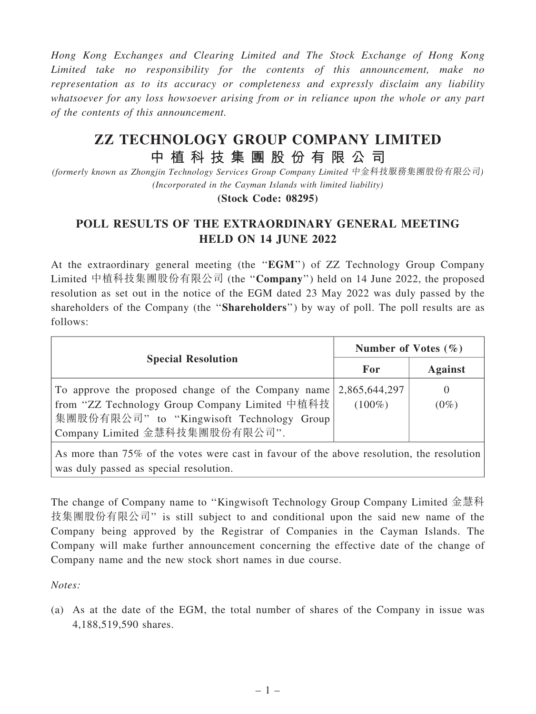Hong Kong Exchanges and Clearing Limited and The Stock Exchange of Hong Kong Limited take no responsibility for the contents of this announcement, make no representation as to its accuracy or completeness and expressly disclaim any liability whatsoever for any loss howsoever arising from or in reliance upon the whole or any part of the contents of this announcement.

## ZZ TECHNOLOGY GROUP COMPANY LIMITED 中 植 科 技 集 團 股 份 有 限 公 司

(formerly known as Zhongjin Technology Services Group Company Limited 中金科技服務集團股份有限公司) (Incorporated in the Cayman Islands with limited liability)

(Stock Code: 08295)

## POLL RESULTS OF THE EXTRAORDINARY GENERAL MEETING HELD ON 14 JUNE 2022

At the extraordinary general meeting (the ''EGM'') of ZZ Technology Group Company Limited 中植科技集團股份有限公司 (the ''Company'') held on 14 June 2022, the proposed resolution as set out in the notice of the EGM dated 23 May 2022 was duly passed by the shareholders of the Company (the "Shareholders") by way of poll. The poll results are as follows:

| <b>Special Resolution</b>                                                                                                                                                                                       | Number of Votes $(\% )$ |                     |
|-----------------------------------------------------------------------------------------------------------------------------------------------------------------------------------------------------------------|-------------------------|---------------------|
|                                                                                                                                                                                                                 | For                     | <b>Against</b>      |
| To approve the proposed change of the Company name $\vert 2,865,644,297 \vert$<br>from "ZZ Technology Group Company Limited 中植科技<br>集團股份有限公司" to "Kingwisoft Technology Group<br>Company Limited 金慧科技集團股份有限公司". | $(100\%)$               | $\theta$<br>$(0\%)$ |

As more than 75% of the votes were cast in favour of the above resolution, the resolution was duly passed as special resolution.

The change of Company name to ''Kingwisoft Technology Group Company Limited 金慧科 技集團股份有限公司'' is still subject to and conditional upon the said new name of the Company being approved by the Registrar of Companies in the Cayman Islands. The Company will make further announcement concerning the effective date of the change of Company name and the new stock short names in due course.

Notes:

(a) As at the date of the EGM, the total number of shares of the Company in issue was 4,188,519,590 shares.